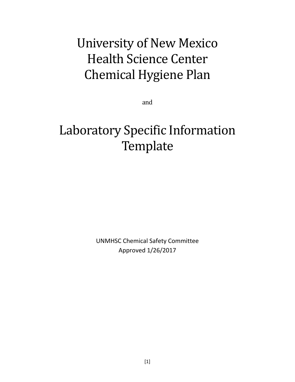# University of New Mexico Health Science Center Chemical Hygiene Plan

and

# Laboratory Specific Information **Template**

UNMHSC Chemical Safety Committee Approved 1/26/2017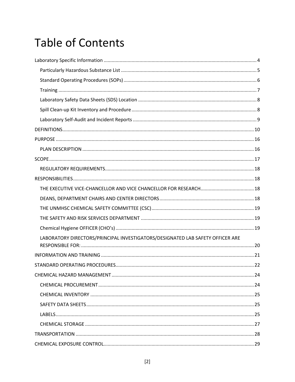# **Table of Contents**

| LABORATORY DIRECTORS/PRINCIPAL INVESTIGATORS/DESIGNATED LAB SAFETY OFFICER ARE |
|--------------------------------------------------------------------------------|
|                                                                                |
|                                                                                |
|                                                                                |
|                                                                                |
|                                                                                |
|                                                                                |
|                                                                                |
|                                                                                |
|                                                                                |
|                                                                                |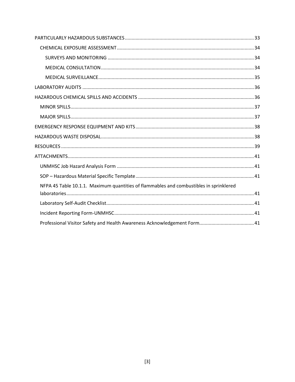| NFPA 45 Table 10.1.1. Maximum quantities of flammables and combustibles in sprinklered |
|----------------------------------------------------------------------------------------|
|                                                                                        |
|                                                                                        |
|                                                                                        |
|                                                                                        |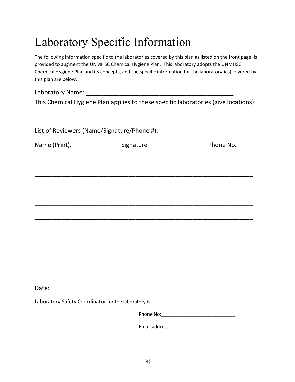# <span id="page-3-0"></span>Laboratory Specific Information

The following information specific to the laboratories covered by this plan as listed on the front page, is provided to augment the UNMHSC Chemical Hygiene Plan. This laboratory adopts the UNMHSC Chemical Hygiene Plan and its concepts, and the specific information for the laboratory(ies) covered by this plan are below.

| Laboratory Name: |                                                                                     |
|------------------|-------------------------------------------------------------------------------------|
|                  | This Chemical Hygiene Plan applies to these specific laboratories (give locations): |

| List of Reviewers (Name/Signature/Phone #): |                                                                                                                      |           |  |  |
|---------------------------------------------|----------------------------------------------------------------------------------------------------------------------|-----------|--|--|
| Name (Print),                               | Signature                                                                                                            | Phone No. |  |  |
|                                             |                                                                                                                      |           |  |  |
|                                             |                                                                                                                      |           |  |  |
|                                             | <u> 1989 - Johann John Harry Harry Harry Harry Harry Harry Harry Harry Harry Harry Harry Harry Harry Harry Harry</u> |           |  |  |
|                                             |                                                                                                                      |           |  |  |
|                                             |                                                                                                                      |           |  |  |
|                                             |                                                                                                                      |           |  |  |
|                                             |                                                                                                                      |           |  |  |
|                                             |                                                                                                                      |           |  |  |
|                                             |                                                                                                                      |           |  |  |
| Date:__________                             |                                                                                                                      |           |  |  |
|                                             |                                                                                                                      |           |  |  |
|                                             |                                                                                                                      |           |  |  |
|                                             |                                                                                                                      |           |  |  |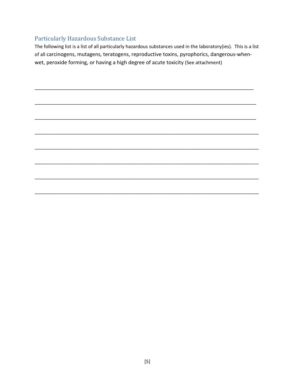### <span id="page-4-0"></span>Particularly Hazardous Substance List

The following list is a list of all particularly hazardous substances used in the laboratory(ies). This is a list of all carcinogens, mutagens, teratogens, reproductive toxins, pyrophorics, dangerous-whenwet, peroxide forming, or having a high degree of acute toxicity (See attachment)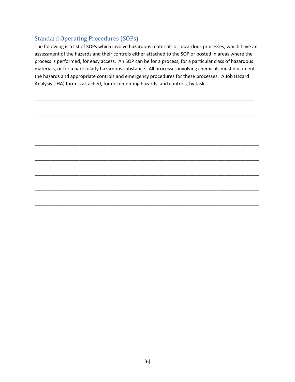#### <span id="page-5-0"></span>Standard Operating Procedures (SOPs)

The following is a list of SOPs which involve hazardous materials or hazardous processes, which have an assessment of the hazards and their controls either attached to the SOP or posted in areas where the process is performed, for easy access. An SOP can be for a process, for a particular class of hazardous materials, or for a particularly hazardous substance. All processes involving chemicals must document the hazards and appropriate controls and emergency procedures for these processes. A Job Hazard Analysis (JHA) form is attached, for documenting hazards, and controls, by task.

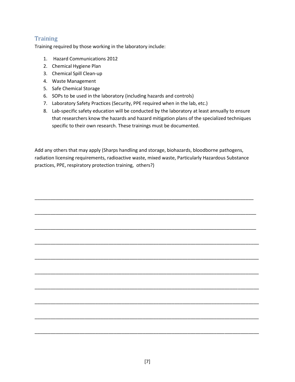### <span id="page-6-0"></span>**Training**

Training required by those working in the laboratory include:

- 1. Hazard Communications 2012
- 2. Chemical Hygiene Plan
- 3. Chemical Spill Clean-up
- 4. Waste Management
- 5. Safe Chemical Storage
- 6. SOPs to be used in the laboratory (including hazards and controls)
- 7. Laboratory Safety Practices (Security, PPE required when in the lab, etc.)
- 8. Lab-specific safety education will be conducted by the laboratory at least annually to ensure that researchers know the hazards and hazard mitigation plans of the specialized techniques specific to their own research. These trainings must be documented.

Add any others that may apply (Sharps handling and storage, biohazards, bloodborne pathogens, radiation licensing requirements, radioactive waste, mixed waste, Particularly Hazardous Substance practices, PPE, respiratory protection training, others?)

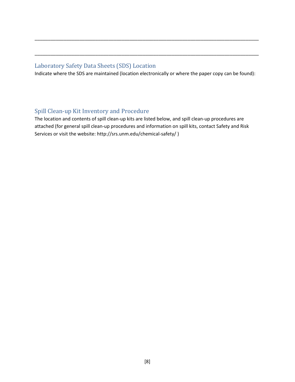#### <span id="page-7-0"></span>Laboratory Safety Data Sheets (SDS) Location

Indicate where the SDS are maintained (location electronically or where the paper copy can be found):

\_\_\_\_\_\_\_\_\_\_\_\_\_\_\_\_\_\_\_\_\_\_\_\_\_\_\_\_\_\_\_\_\_\_\_\_\_\_\_\_\_\_\_\_\_\_\_\_\_\_\_\_\_\_\_\_\_\_\_\_\_\_\_\_\_\_\_\_\_\_\_\_\_\_\_\_\_\_\_\_\_\_\_\_\_

\_\_\_\_\_\_\_\_\_\_\_\_\_\_\_\_\_\_\_\_\_\_\_\_\_\_\_\_\_\_\_\_\_\_\_\_\_\_\_\_\_\_\_\_\_\_\_\_\_\_\_\_\_\_\_\_\_\_\_\_\_\_\_\_\_\_\_\_\_\_\_\_\_\_\_\_\_\_\_\_\_\_\_\_\_

#### <span id="page-7-1"></span>Spill Clean-up Kit Inventory and Procedure

The location and contents of spill clean-up kits are listed below, and spill clean-up procedures are attached (for general spill clean-up procedures and information on spill kits, contact Safety and Risk Services or visit the website: http://srs.unm.edu/chemical-safety/ )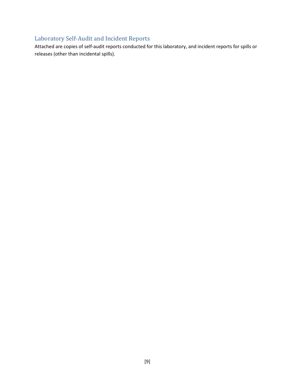### <span id="page-8-0"></span>Laboratory Self-Audit and Incident Reports

Attached are copies of self-audit reports conducted for this laboratory, and incident reports for spills or releases (other than incidental spills).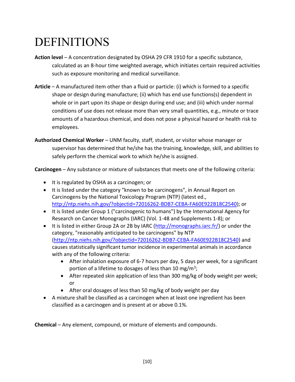### <span id="page-9-0"></span>DEFINITIONS

- **Action level** A concentration designated by OSHA 29 CFR 1910 for a specific substance, calculated as an 8-hour time weighted average, which initiates certain required activities such as exposure monitoring and medical surveillance.
- **Article**  A manufactured item other than a fluid or particle: (i) which is formed to a specific shape or design during manufacture; (ii) which has end use functions(s) dependent in whole or in part upon its shape or design during end use; and (iii) which under normal conditions of use does not release more than very small quantities, e.g., minute or trace amounts of a hazardous chemical, and does not pose a physical hazard or health risk to employees.

**Authorized Chemical Worker** – UNM faculty, staff, student, or visitor whose manager or supervisor has determined that he/she has the training, knowledge, skill, and abilities to safely perform the chemical work to which he/she is assigned.

**Carcinogen** – Any substance or mixture of substances that meets one of the following criteria:

- It is regulated by OSHA as a carcinogen; or
- It is listed under the category "known to be carcinogens", in Annual Report on Carcinogens by the National Toxicology Program (NTP) (latest ed., [http://ntp.niehs.nih.gov/?objectid=72016262-BDB7-CEBA-FA60E922B18C2540\)](http://ntp.niehs.nih.gov/?objectid=72016262-BDB7-CEBA-FA60E922B18C2540); or
- It is listed under Group 1 ("carcinogenic to humans") by the International Agency for Research on Cancer Monographs (IARC) (Vol. 1-48 and Supplements 1-8); or
- It is listed in either Group 2A or 2B by IARC ( $http://monographs.iarc.fr/$ ) or under the category, "reasonably anticipated to be carcinogens" by NTP [\(http://ntp.niehs.nih.gov/?objectid=72016262-BDB7-CEBA-FA60E922B18C2540\)](http://ntp.niehs.nih.gov/?objectid=72016262-BDB7-CEBA-FA60E922B18C2540) and causes statistically significant tumor incidence in experimental animals in accordance with any of the following criteria:
	- After inhalation exposure of 6-7 hours per day, 5 days per week, for a significant portion of a lifetime to dosages of less than 10 mg/m<sup>3</sup>;
	- After repeated skin application of less than 300 mg/kg of body weight per week; or
	- After oral dosages of less than 50 mg/kg of body weight per day
- A mixture shall be classified as a carcinogen when at least one ingredient has been classified as a carcinogen and is present at or above 0.1%.

**Chemical** – Any element, compound, or mixture of elements and compounds.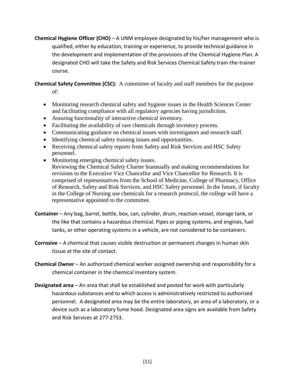**Chemical Hygiene Officer (CHO)** – A UNM employee designated by his/her management who is qualified, either by education, training or experience, to provide technical guidance in the development and implementation of the provisions of the Chemical Hygiene Plan. A designated CHO will take the Safety and Risk Services Chemical Safety train-the-trainer course.

**Chemical Safety Committee (CSC):** A committee of faculty and staff members for the purpose

of:

- Monitoring research chemical safety and hygiene issues in the Health Sciences Center and facilitating compliance with all regulatory agencies having jurisdiction.
- Assuring functionality of interactive chemical inventory.
- Facilitating the availability of rare chemicals through inventory process.
- Communicating guidance on chemical issues with investigators and research staff.
- Identifying chemical safety training issues and opportunities.
- Receiving chemical safety reports from Safety and Risk Services and HSC Safety personnel.
- Monitoring emerging chemical safety issues. Reviewing the Chemical Safety Charter biannually and making recommendations for revisions to the Executive Vice Chancellor and Vice Chancellor for Research. It is comprised of representatives from the School of Medicine, College of Pharmacy, Office of Research, Safety and Risk Services, and HSC Safety personnel. In the future, if faculty in the College of Nursing use chemicals for a research protocol, the college will have a representative appointed to the committee.
- **Container** *–* Any bag, barrel, bottle, box, can, cylinder, drum, reaction vessel, storage tank, or the like that contains a hazardous chemical. Pipes or piping systems, and engines, fuel tanks, or other operating systems in a vehicle, are not considered to be containers.
- **Corrosive**  A chemical that causes visible destruction or permanent changes in human skin tissue at the site of contact.
- **Chemical Owner**  An authorized chemical worker assigned ownership and responsibility for a chemical container in the chemical inventory system.
- **Designated area** An area that shall be established and posted for work with particularly hazardous substances and to which access is administratively restricted to authorized personnel. A designated area may be the entire laboratory, an area of a laboratory, or a device such as a laboratory fume hood. Designated area signs are available from Safety and Risk Services at 277-2753.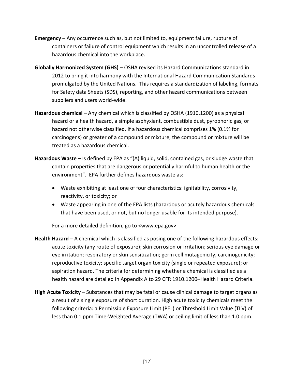- **Emergency** Any occurrence such as, but not limited to, equipment failure, rupture of containers or failure of control equipment which results in an uncontrolled release of a hazardous chemical into the workplace.
- **Globally Harmonized System (GHS)** OSHA revised its Hazard Communications standard in 2012 to bring it into harmony with the International Hazard Communication Standards promulgated by the United Nations. This requires a standardization of labeling, formats for Safety data Sheets (SDS), reporting, and other hazard communications between suppliers and users world-wide.
- **Hazardous chemical** Any chemical which is classified by OSHA (1910.1200) as a physical hazard or a health hazard, a simple asphyxiant, combustible dust, pyrophoric gas, or hazard not otherwise classified. If a hazardous chemical comprises 1% (0.1% for carcinogens) or greater of a compound or mixture, the compound or mixture will be treated as a hazardous chemical.
- **Hazardous Waste**  Is defined by EPA as "(A) liquid, solid, contained gas, or sludge waste that contain properties that are dangerous or potentially harmful to human health or the environment". EPA further defines hazardous waste as:
	- Waste exhibiting at least one of four characteristics: ignitability, corrosivity, reactivity, or toxicity; or
	- Waste appearing in one of the EPA lists (hazardous or acutely hazardous chemicals that have been used, or not, but no longer usable for its intended purpose).

For a more detailed definition, go to <www.epa.gov>

- **Health Hazard**  A chemical which is classified as posing one of the following hazardous effects: acute toxicity (any route of exposure); skin corrosion or irritation; serious eye damage or eye irritation; respiratory or skin sensitization; germ cell mutagenicity; carcinogenicity; reproductive toxicity; specific target organ toxicity (single or repeated exposure); or aspiration hazard. The criteria for determining whether a chemical is classified as a health hazard are detailed in Appendix A to 29 CFR 1910.1200–Health Hazard Criteria.
- **High Acute Toxicity**  Substances that may be fatal or cause clinical damage to target organs as a result of a single exposure of short duration. High acute toxicity chemicals meet the following criteria: a Permissible Exposure Limit (PEL) or Threshold Limit Value (TLV) of less than 0.1 ppm Time-Weighted Average (TWA) or ceiling limit of less than 1.0 ppm.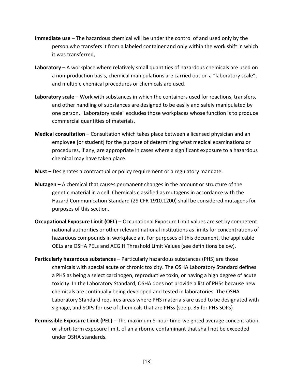- **Immediate use**  The hazardous chemical will be under the control of and used only by the person who transfers it from a labeled container and only within the work shift in which it was transferred,
- **Laboratory** A workplace where relatively small quantities of hazardous chemicals are used on a non-production basis, chemical manipulations are carried out on a "laboratory scale", and multiple chemical procedures or chemicals are used.
- **Laboratory scale** Work with substances in which the containers used for reactions, transfers, and other handling of substances are designed to be easily and safely manipulated by one person. "Laboratory scale" excludes those workplaces whose function is to produce commercial quantities of materials.
- **Medical consultation** Consultation which takes place between a licensed physician and an employee [or student] for the purpose of determining what medical examinations or procedures, if any, are appropriate in cases where a significant exposure to a hazardous chemical may have taken place.
- **Must** Designates a contractual or policy requirement or a regulatory mandate.
- **Mutagen** A chemical that causes permanent changes in the amount or structure of the genetic material in a cell. Chemicals classified as mutagens in accordance with the Hazard Communication Standard (29 CFR 1910.1200) shall be considered mutagens for purposes of this section.
- **Occupational Exposure Limit (OEL)**  Occupational Exposure Limit values are set by competent national authorities or other relevant national institutions as limits for concentrations of hazardous compounds in workplace air. For purposes of this document, the applicable OELs are OSHA PELs and ACGIH Threshold Limit Values (see definitions below).
- **Particularly hazardous substances** Particularly hazardous substances (PHS) are those chemicals with special acute or chronic toxicity. The OSHA Laboratory Standard defines a PHS as being a select carcinogen, reproductive toxin, or having a high degree of acute toxicity. In the Laboratory Standard, OSHA does not provide a list of PHSs because new chemicals are continually being developed and tested in laboratories. The OSHA Laboratory Standard requires areas where PHS materials are used to be designated with signage, and SOPs for use of chemicals that are PHSs (see p. 35 for PHS SOPs)
- **Permissible Exposure Limit (PEL)** The maximum 8-hour time-weighted average concentration, or short-term exposure limit, of an airborne contaminant that shall not be exceeded under OSHA standards.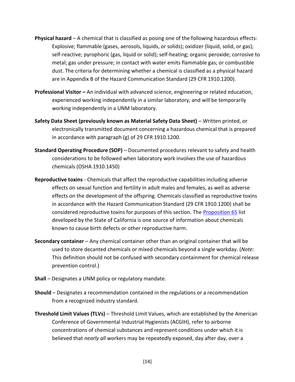- **Physical hazard** A chemical that is classified as posing one of the following hazardous effects: Explosive; flammable (gases, aerosols, liquids, or solids); oxidizer (liquid, solid, or gas); self-reactive; pyrophoric (gas, liquid or solid); self-heating; organic peroxide; corrosive to metal; gas under pressure; in contact with water emits flammable gas; or combustible dust. The criteria for determining whether a chemical is classified as a physical hazard are in Appendix B of the Hazard Communication Standard (29 CFR 1910.1200).
- **Professional Visitor –** An individual with advanced science, engineering or related education, experienced working independently in a similar laboratory, and will be temporarily working independently in a UNM laboratory.
- **Safety Data Sheet (previously known as Material Safety Data Sheet)**  *W*ritten printed, or electronically transmitted document concerning a hazardous chemical that is prepared in accordance with paragraph (g) of 29 CFR 1910.1200.
- **Standard Operating Procedure (SOP)**  Documented procedures relevant to safety and health considerations to be followed when laboratory work involves the use of hazardous chemicals (OSHA 1910.1450)
- **Reproductive toxins** Chemicals that affect the reproductive capabilities including adverse effects on sexual function and fertility in adult males and females, as well as adverse effects on the development of the offspring. Chemicals classified as reproductive toxins in accordance with the Hazard Communication Standard (29 CFR 1910.1200) shall be considered reproductive toxins for purposes of this section. The [Proposition 65](http://oehha.ca.gov/prop65/prop65_list/Newlist.html) list developed by the State of California is one source of information about chemicals known to cause birth defects or other reproductive harm.
- **Secondary container** Any chemical container other than an original container that will be used to store decanted chemicals or mixed chemicals beyond a single workday. (*Note:*  This definition should not be confused with secondary containment for chemical release prevention control.)
- **Shall** Designates a UNM policy or regulatory mandate.
- **Should** Designates a recommendation contained in the regulations or a recommendation from a recognized industry standard.
- **Threshold Limit Values (TLVs)**  Threshold Limit Values, which are established by the American Conference of Governmental Industrial Hygienists (ACGIH), refer to airborne concentrations of chemical substances and represent conditions under which it is believed that *nearly all* workers may be repeatedly exposed, day after day, over a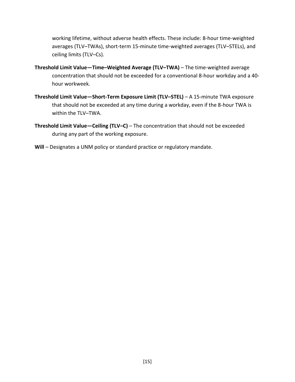working lifetime, without adverse health effects. These include: 8-hour time-weighted averages (TLV–TWAs), short-term 15-minute time-weighted averages (TLV–STELs), and ceiling limits (TLV–Cs).

- **Threshold Limit Value—Time–Weighted Average (TLV–TWA)**  The time-weighted average concentration that should not be exceeded for a conventional 8-hour workday and a 40 hour workweek.
- **Threshold Limit Value—Short-Term Exposure Limit (TLV–STEL)**  A 15-minute TWA exposure that should not be exceeded at any time during a workday, even if the 8-hour TWA is within the TLV–TWA.
- **Threshold Limit Value—Ceiling (TLV–C)**  The concentration that should not be exceeded during any part of the working exposure.
- **Will** Designates a UNM policy or standard practice or regulatory mandate.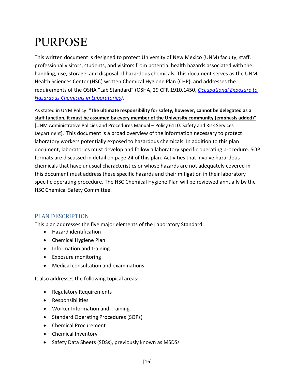### <span id="page-15-0"></span>PURPOSE

This written document is designed to protect University of New Mexico (UNM) faculty, staff, professional visitors, students, and visitors from potential health hazards associated with the handling, use, storage, and disposal of hazardous chemicals. This document serves as the UNM Health Sciences Center (HSC) written Chemical Hygiene Plan (CHP), and addresses the requirements of the OSHA "Lab Standard" (OSHA, 29 CFR 1910.1450, *[Occupational Exposure to](https://www.osha.gov/pls/oshaweb/owadisp.show_document?p_table=STANDARDS&p_id=10106)  [Hazardous Chemicals in Laboratories\)](https://www.osha.gov/pls/oshaweb/owadisp.show_document?p_table=STANDARDS&p_id=10106)*.

As stated in UNM Policy: "**The ultimate responsibility for safety, however, cannot be delegated as a staff function, it must be assumed by every member of the University community (emphasis added)"** [UNM Administrative Policies and Procedures Manual – Policy 6110: Safety and Risk Services Department]. This document is a broad overview of the information necessary to protect laboratory workers potentially exposed to hazardous chemicals. In addition to this plan document, laboratories must develop and follow a laboratory specific operating procedure. SOP formats are discussed in detail on page 24 of this plan. Activities that involve hazardous chemicals that have unusual characteristics or whose hazards are not adequately covered in this document must address these specific hazards and their mitigation in their laboratory specific operating procedure. The HSC Chemical Hygiene Plan will be reviewed annually by the HSC Chemical Safety Committee.

### <span id="page-15-1"></span>PLAN DESCRIPTION

This plan addresses the five major elements of the Laboratory Standard:

- Hazard identification
- Chemical Hygiene Plan
- Information and training
- Exposure monitoring
- Medical consultation and examinations

It also addresses the following topical areas:

- Regulatory Requirements
- Responsibilities
- Worker Information and Training
- Standard Operating Procedures (SOPs)
- Chemical Procurement
- Chemical Inventory
- Safety Data Sheets (SDSs), previously known as MSDSs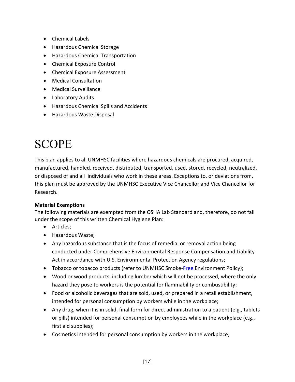- Chemical Labels
- Hazardous Chemical Storage
- Hazardous Chemical Transportation
- Chemical Exposure Control
- Chemical Exposure Assessment
- Medical Consultation
- Medical Surveillance
- Laboratory Audits
- Hazardous Chemical Spills and Accidents
- Hazardous Waste Disposal

### <span id="page-16-0"></span>SCOPE

This plan applies to all UNMHSC facilities where hazardous chemicals are procured, acquired, manufactured, handled, received, distributed, transported, used, stored, recycled, neutralized, or disposed of and all individuals who work in these areas. Exceptions to, or deviations from, this plan must be approved by the UNMHSC Executive Vice Chancellor and Vice Chancellor for Research.

#### **Material Exemptions**

The following materials are exempted from the OSHA Lab Standard and, therefore, do not fall under the scope of this written Chemical Hygiene Plan:

- Articles;
- Hazardous Waste;
- Any hazardous substance that is the focus of remedial or removal action being conducted under Comprehensive Environmental Response Compensation and Liability Act in accordance with U.S. Environmental Protection Agency regulations;
- Tobacco or tobacco products (refer to UNMHSC Smoke[-Free](http://hsc.unm.edu/about/smokefree/docs/HSC_smoke_free_policy.pdf) Environment Policy);
- Wood or wood products, including lumber which will not be processed, where the only hazard they pose to workers is the potential for flammability or combustibility;
- Food or alcoholic beverages that are sold, used, or prepared in a retail establishment, intended for personal consumption by workers while in the workplace;
- Any drug, when it is in solid, final form for direct administration to a patient (e.g., tablets or pills) intended for personal consumption by employees while in the workplace (e.g., first aid supplies);
- Cosmetics intended for personal consumption by workers in the workplace;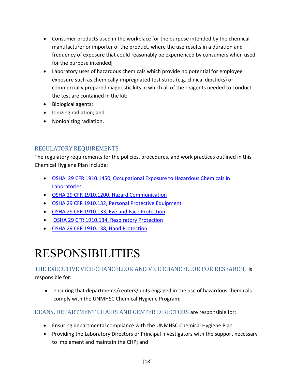- Consumer products used in the workplace for the purpose intended by the chemical manufacturer or importer of the product, where the use results in a duration and frequency of exposure that could reasonably be experienced by consumers when used for the purpose intended;
- Laboratory uses of hazardous chemicals which provide no potential for employee exposure such as chemically-impregnated test strips (e.g. clinical dipsticks) or commercially prepared diagnostic kits in which all of the reagents needed to conduct the test are contained in the kit;
- Biological agents;
- Ionizing radiation; and
- Nonionizing radiation.

### <span id="page-17-0"></span>REGULATORY REQUIREMENTS

The regulatory requirements for the policies, procedures, and work practices outlined in this Chemical Hygiene Plan include:

- [OSHA 29 CFR 1910.1450, Occupational Exposure to Hazardous Chemicals in](http://www.osha.gov/pls/oshaweb/owadisp.show_document?p_table=standards&p_id=10106)  **[Laboratories](http://www.osha.gov/pls/oshaweb/owadisp.show_document?p_table=standards&p_id=10106)**
- [OSHA 29 CFR 1910.1200, Hazard Communication](http://www.osha.gov/pls/oshaweb/owadisp.show_document?p_table=STANDARDS&p_id=10099)
- [OSHA 29 CFR 1910.132, Personal Protective Equipment](http://www.osha.gov/pls/oshaweb/owadisp.show_document?p_table=STANDARDS&p_id=9777)
- [OSHA 29 CFR 1910.133, Eye and Face Protection](http://www.osha.gov/pls/oshaweb/owadisp.show_document?p_table=STANDARDS&p_id=9778)
- [OSHA 29 CFR 1910.134, Respiratory Protection](http://www.osha.gov/pls/oshaweb/owadisp.show_document?p_id=12716&p_table=standards)
- [OSHA 29 CFR 1910.138, Hand Protection](http://www.osha.gov/pls/oshaweb/owadisp.show_document?p_table=STANDARDS&p_id=9788)

### <span id="page-17-1"></span>RESPONSIBILITIES

### <span id="page-17-2"></span>THE EXECUTIVE VICE-CHANCELLOR AND VICE CHANCELLOR FOR RESEARCH, is responsible for:

 ensuring that departments/centers/units engaged in the use of hazardous chemicals comply with the UNMHSC Chemical Hygiene Program;

### <span id="page-17-3"></span>DEANS, DEPARTMENT CHAIRS AND CENTER DIRECTORS are responsible for:

- Ensuring departmental compliance with the UNMHSC Chemical Hygiene Plan
- Providing the Laboratory Directors or Principal Investigators with the support necessary to implement and maintain the CHP; and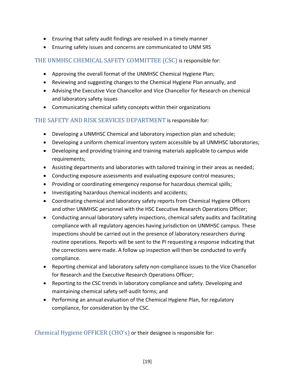- Ensuring that safety audit findings are resolved in a timely manner
- Ensuring safety issues and concerns are communicated to UNM SRS

#### <span id="page-18-0"></span>THE UNMHSC CHEMICAL SAFETY COMMITTEE (CSC) is responsible for:

- Approving the overall format of the UNMHSC Chemical Hygiene Plan;
- Reviewing and suggesting changes to the Chemical Hygiene Plan annually, and
- Advising the Executive Vice Chancellor and Vice Chancellor for Research on chemical and laboratory safety issues
- Communicating chemical safety concepts within their organizations

#### <span id="page-18-1"></span>THE SAFETY AND RISK SERVICES DEPARTMENT is responsible for:

- Developing a UNMHSC Chemical and laboratory inspection plan and schedule;
- Developing a uniform chemical inventory system accessible by all UNMHSC laboratories;
- Developing and providing training and training materials applicable to campus wide requirements;
- Assisting departments and laboratories with tailored training in their areas as needed;
- Conducting exposure assessments and evaluating exposure control measures;
- Providing or coordinating emergency response for hazardous chemical spills;
- Investigating hazardous chemical incidents and accidents;
- Coordinating chemical and laboratory safety reports from Chemical Hygiene Officers and other UNMHSC personnel with the HSC Executive Research Operations Officer;
- Conducting annual laboratory safety inspections, chemical safety audits and facilitating compliance with all regulatory agencies having jurisdiction on UNMHSC campus. These inspections should be carried out in the presence of laboratory researchers during routine operations. Reports will be sent to the PI requesting a response indicating that the corrections were made. A follow up inspection will then be conducted to verify compliance.
- Reporting chemical and laboratory safety non-compliance issues to the Vice Chancellor for Research and the Executive Research Operations Officer;
- Reporting to the CSC trends in laboratory compliance and safety. Developing and maintaining chemical safety self-audit forms; and
- Performing an annual evaluation of the Chemical Hygiene Plan, for regulatory compliance, for consideration by the CSC.

<span id="page-18-2"></span>Chemical Hygiene OFFICER (CHO's) or their designee is responsible for: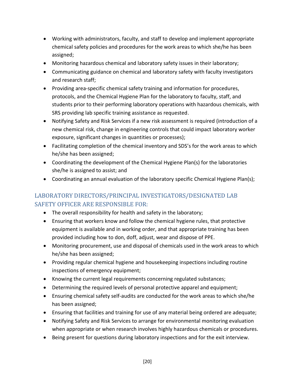- Working with administrators, faculty, and staff to develop and implement appropriate chemical safety policies and procedures for the work areas to which she/he has been assigned;
- Monitoring hazardous chemical and laboratory safety issues in their laboratory;
- Communicating guidance on chemical and laboratory safety with faculty investigators and research staff;
- Providing area-specific chemical safety training and information for procedures, protocols, and the Chemical Hygiene Plan for the laboratory to faculty, staff, and students prior to their performing laboratory operations with hazardous chemicals, with SRS providing lab specific training assistance as requested.
- Notifying Safety and Risk Services if a new risk assessment is required (introduction of a new chemical risk, change in engineering controls that could impact laboratory worker exposure, significant changes in quantities or processes);
- Facilitating completion of the chemical inventory and SDS's for the work areas to which he/she has been assigned;
- Coordinating the development of the Chemical Hygiene Plan(s) for the laboratories she/he is assigned to assist; and
- Coordinating an annual evaluation of the laboratory specific Chemical Hygiene Plan(s);

### <span id="page-19-0"></span>LABORATORY DIRECTORS/PRINCIPAL INVESTIGATORS/DESIGNATED LAB SAFETY OFFICER ARE RESPONSIBLE FOR:

- The overall responsibility for health and safety in the laboratory;
- Ensuring that workers know and follow the chemical hygiene rules, that protective equipment is available and in working order, and that appropriate training has been provided including how to don, doff, adjust, wear and dispose of PPE.
- Monitoring procurement, use and disposal of chemicals used in the work areas to which he/she has been assigned;
- Providing regular chemical hygiene and housekeeping inspections including routine inspections of emergency equipment;
- Knowing the current legal requirements concerning regulated substances;
- Determining the required levels of personal protective apparel and equipment;
- Ensuring chemical safety self-audits are conducted for the work areas to which she/he has been assigned;
- Ensuring that facilities and training for use of any material being ordered are adequate;
- Notifying Safety and Risk Services to arrange for environmental monitoring evaluation when appropriate or when research involves highly hazardous chemicals or procedures.
- Being present for questions during laboratory inspections and for the exit interview.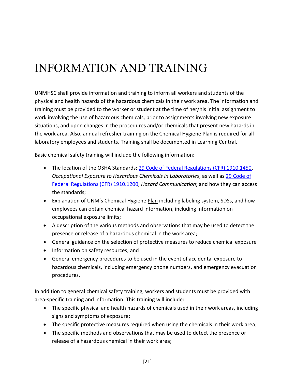# <span id="page-20-0"></span>INFORMATION AND TRAINING

UNMHSC shall provide information and training to inform all workers and students of the physical and health hazards of the hazardous chemicals in their work area. The information and training must be provided to the worker or student at the time of her/his initial assignment to work involving the use of hazardous chemicals, prior to assignments involving new exposure situations, and upon changes in the procedures and/or chemicals that present new hazards in the work area. Also, annual refresher training on the Chemical Hygiene Plan is required for all laboratory employees and students. Training shall be documented in Learning Central.

Basic chemical safety training will include the following information:

- The location of the OSHA Standards: [29 Code of Federal Regulations \(CFR\) 1910.1450,](http://cfr.vlex.com/vid/1910-exposure-chemicals-laboratories-19686814) *Occupational Exposure to Hazardous Chemicals in Laboratories*, as well as [29 Code of](http://www.ecfr.gov/cgi-bin/text-idx?c=ecfr&rgn=div8&view=text&node=29:6.1.1.1.1.1.1.36&idno=29%20)  [Federal Regulations \(CFR\) 1910.1200,](http://www.ecfr.gov/cgi-bin/text-idx?c=ecfr&rgn=div8&view=text&node=29:6.1.1.1.1.1.1.36&idno=29%20) *Hazard Communication*; and how they can access the standards;
- Explanation of UNM's Chemical Hygiene Plan including labeling system, SDSs, and how employees can obtain chemical hazard information, including information on occupational exposure limits;
- A description of the various methods and observations that may be used to detect the presence or release of a hazardous chemical in the work area;
- General guidance on the selection of protective measures to reduce chemical exposure
- Information on safety resources; and
- General emergency procedures to be used in the event of accidental exposure to hazardous chemicals, including emergency phone numbers, and emergency evacuation procedures.

In addition to general chemical safety training, workers and students must be provided with area-specific training and information. This training will include:

- The specific physical and health hazards of chemicals used in their work areas, including signs and symptoms of exposure;
- The specific protective measures required when using the chemicals in their work area;
- The specific methods and observations that may be used to detect the presence or release of a hazardous chemical in their work area;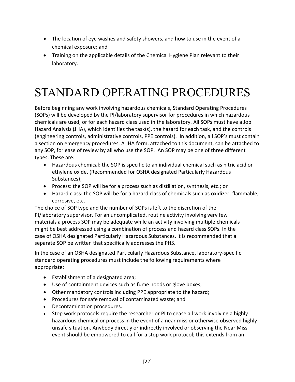- The location of eye washes and safety showers, and how to use in the event of a chemical exposure; and
- Training on the applicable details of the Chemical Hygiene Plan relevant to their laboratory.

# <span id="page-21-0"></span>STANDARD OPERATING PROCEDURES

Before beginning any work involving hazardous chemicals, Standard Operating Procedures (SOPs) will be developed by the PI/laboratory supervisor for procedures in which hazardous chemicals are used, or for each hazard class used in the laboratory. All SOPs must have a Job Hazard Analysis (JHA), which identifies the task(s), the hazard for each task, and the controls (engineering controls, administrative controls, PPE controls). In addition, all SOP's must contain a section on emergency procedures. A JHA form, attached to this document, can be attached to any SOP, for ease of review by all who use the SOP. An SOP may be one of three different types. These are:

- Hazardous chemical: the SOP is specific to an individual chemical such as nitric acid or ethylene oxide. (Recommended for OSHA designated Particularly Hazardous Substances);
- Process: the SOP will be for a process such as distillation, synthesis, etc.; or
- Hazard class: the SOP will be for a hazard class of chemicals such as oxidizer, flammable, corrosive, etc.

The choice of SOP type and the number of SOPs is left to the discretion of the PI/laboratory supervisor. For an uncomplicated, routine activity involving very few materials a process SOP may be adequate while an activity involving multiple chemicals might be best addressed using a combination of process and hazard class SOPs. In the case of OSHA designated Particularly Hazardous Substances, it is recommended that a separate SOP be written that specifically addresses the PHS.

In the case of an OSHA designated Particularly Hazardous Substance, laboratory-specific standard operating procedures must include the following requirements where appropriate:

- Establishment of a designated area;
- Use of containment devices such as fume hoods or glove boxes;
- Other mandatory controls including PPE appropriate to the hazard;
- Procedures for safe removal of contaminated waste; and
- Decontamination procedures.
- Stop work protocols require the researcher or PI to cease all work involving a highly hazardous chemical or process in the event of a near miss or otherwise observed highly unsafe situation. Anybody directly or indirectly involved or observing the Near Miss event should be empowered to call for a stop work protocol; this extends from an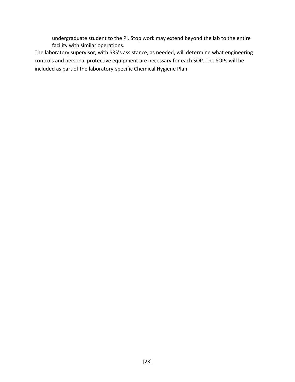undergraduate student to the PI. Stop work may extend beyond the lab to the entire facility with similar operations.

The laboratory supervisor, with SRS's assistance, as needed, will determine what engineering controls and personal protective equipment are necessary for each SOP. The SOPs will be included as part of the laboratory-specific Chemical Hygiene Plan.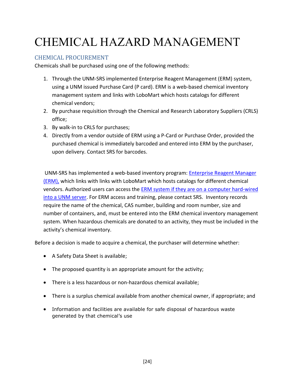# <span id="page-23-0"></span>CHEMICAL HAZARD MANAGEMENT

### <span id="page-23-1"></span>CHEMICAL PROCUREMENT

Chemicals shall be purchased using one of the following methods:

- 1. Through the UNM-SRS implemented Enterprise Reagent Management (ERM) system, using a UNM issued Purchase Card (P card). ERM is a web-based chemical inventory management system and links with LoboMart which hosts catalogs for different chemical vendors;
- 2. By purchase requisition through the Chemical and Research Laboratory Suppliers (CRLS) office;
- 3. By walk-in to CRLS for purchases;
- 4. Directly from a vendor outside of ERM using a P-Card or Purchase Order, provided the purchased chemical is immediately barcoded and entered into ERM by the purchaser, upon delivery. Contact SRS for barcodes.

UNM-SRS has implemented a web-based inventory program: [Enterprise Reagent Manager](http://srs153web02.colleges.ad.unm.edu/)  [\(ERM\),](http://srs153web02.colleges.ad.unm.edu/) which links with links with LoboMart which hosts catalogs for different chemical vendors. Authorized users can access the ERM system [if they are on a computer hard-wired](http://srs153web02.colleges.ad.unm.edu/)  [into a UNM server.](http://srs153web02.colleges.ad.unm.edu/) For ERM access and training, please contact SRS. Inventory records require the name of the chemical, CAS number, building and room number, size and number of containers, and, must be entered into the ERM chemical inventory management system. When hazardous chemicals are donated to an activity, they must be included in the activity's chemical inventory.

Before a decision is made to acquire a chemical, the purchaser will determine whether:

- A Safety Data Sheet is available;
- The proposed quantity is an appropriate amount for the activity;
- There is a less hazardous or non-hazardous chemical available;
- There is a surplus chemical available from another chemical owner, if appropriate; and
- Information and facilities are available for safe disposal of hazardous waste generated by that chemical's use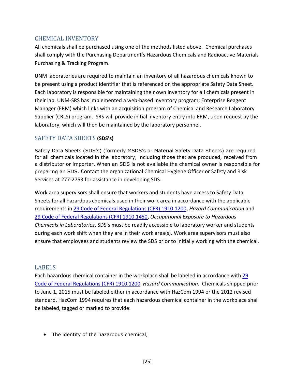#### <span id="page-24-0"></span>CHEMICAL INVENTORY

All chemicals shall be purchased using one of the methods listed above. Chemical purchases shall comply with the Purchasing Department's Hazardous Chemicals and Radioactive Materials Purchasing & Tracking Program.

UNM laboratories are required to maintain an inventory of all hazardous chemicals known to be present using a product identifier that is referenced on the appropriate Safety Data Sheet. Each laboratory is responsible for maintaining their own inventory for all chemicals present in their lab. UNM-SRS has implemented a web-based inventory program: Enterprise Reagent Manager (ERM) which links with an acquisition program of Chemical and Research Laboratory Supplier (CRLS) program. SRS will provide initial inventory entry into ERM, upon request by the laboratory, which will then be maintained by the laboratory personnel.

#### <span id="page-24-1"></span>SAFETY DATA SHEETS **(SDS's)**

Safety Data Sheets (SDS's) (formerly MSDS's or Material Safety Data Sheets) are required for all chemicals located in the laboratory, including those that are produced, received from a distributor or importer. When an SDS is not available the chemical owner is responsible for preparing an SDS. Contact the organizational Chemical Hygiene Officer or Safety and Risk Services at 277-2753 for assistance in developing SDS.

Work area supervisors shall ensure that workers and students have access to Safety Data Sheets for all hazardous chemicals used in their work area in accordance with the applicable requirements i[n 29 Code of Federal Regulations \(CFR\) 1910.1200,](http://www.ecfr.gov/cgi-bin/text-idx?c=ecfr&rgn=div8&view=text&node=29:6.1.1.1.1.1.1.36&idno=29) *Hazard Communication* and [29 Code of Federal Regulations \(CFR\) 1910.1450,](http://cfr.vlex.com/vid/1910-exposure-chemicals-laboratories-19686814) *Occupational Exposure to Hazardous Chemicals in Laboratories*. SDS's must be readily accessible to laboratory worker and students during each work shift when they are in their work area(s). Work area supervisors must also ensure that employees and students review the SDS prior to initially working with the chemical.

#### <span id="page-24-2"></span>LABELS

Each hazardous chemical container in the workplace shall be labeled in accordance with 29 [Code of Federal Regulations \(CFR\) 1910.1200](http://www.ecfr.gov/cgi-bin/text-idx?c=ecfr&rgn=div8&view=text&node=29:6.1.1.1.1.1.1.36&idno=29), *Hazard Communication.* Chemicals shipped prior to June 1, 2015 must be labeled either in accordance with HazCom 1994 or the 2012 revised standard. HazCom 1994 requires that each hazardous chemical container in the workplace shall be labeled, tagged or marked to provide:

• The identity of the hazardous chemical;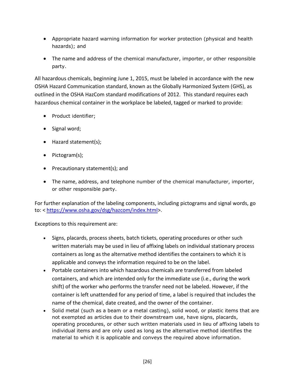- Appropriate hazard warning information for worker protection (physical and health hazards); and
- The name and address of the chemical manufacturer, importer, or other responsible party.

All hazardous chemicals, beginning June 1, 2015, must be labeled in accordance with the new OSHA Hazard Communication standard, known as the Globally Harmonized System (GHS), as outlined in the OSHA HazCom standard modifications of 2012. This standard requires each hazardous chemical container in the workplace be labeled, tagged or marked to provide:

- Product identifier;
- Signal word;
- Hazard statement(s);
- Pictogram(s);
- Precautionary statement(s); and
- The name, address, and telephone number of the chemical manufacturer, importer, or other responsible party.

For further explanation of the labeling components, including pictograms and signal words, go to: < [https://www.osha.gov/dsg/hazcom/index.html>](https://www.osha.gov/dsg/hazcom/index.html).

Exceptions to this requirement are:

- Signs, placards, process sheets, batch tickets, operating procedures or other such written materials may be used in lieu of affixing labels on individual stationary process containers as long as the alternative method identifies the containers to which it is applicable and conveys the information required to be on the label.
- Portable containers into which hazardous chemicals are transferred from labeled containers, and which are intended only for the immediate use (i.e., during the work shift) of the worker who performs the transfer need not be labeled. However, if the container is left unattended for any period of time, a label is required that includes the name of the chemical, date created, and the owner of the container.
- Solid metal (such as a beam or a metal casting), solid wood, or plastic items that are not exempted as articles due to their downstream use, have signs, placards, operating procedures, or other such written materials used in lieu of affixing labels to individual items and are only used as long as the alternative method identifies the material to which it is applicable and conveys the required above information.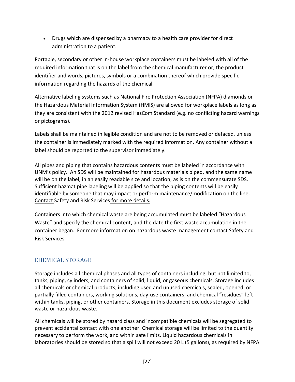Drugs which are dispensed by a pharmacy to a health care provider for direct administration to a patient.

Portable, secondary or other in-house workplace containers must be labeled with all of the required information that is on the label from the chemical manufacturer or, the product identifier and words, pictures, symbols or a combination thereof which provide specific information regarding the hazards of the chemical.

Alternative labeling systems such as National Fire Protection Association (NFPA) diamonds or the Hazardous Material Information System (HMIS) are allowed for workplace labels as long as they are consistent with the 2012 revised HazCom Standard (e.g. no conflicting hazard warnings or pictograms).

Labels shall be maintained in legible condition and are not to be removed or defaced, unless the container is immediately marked with the required information. Any container without a label should be reported to the supervisor immediately.

All pipes and piping that contains hazardous contents must be labeled in accordance with UNM's policy. An SDS will be maintained for hazardous materials piped, and the same name will be on the label, in an easily readable size and location, as is on the commensurate SDS. Sufficient hazmat pipe labeling will be applied so that the piping contents will be easily identifiable by someone that may impact or perform maintenance/modification on the line. Contact Safety and Risk Services for more details.

Containers into which chemical waste are being accumulated must be labeled "Hazardous Waste" and specify the chemical content, and the date the first waste accumulation in the container began. For more information on hazardous waste management contact Safety and Risk Services.

### <span id="page-26-0"></span>CHEMICAL STORAGE

Storage includes all chemical phases and all types of containers including, but not limited to, tanks, piping, cylinders, and containers of solid, liquid, or gaseous chemicals. Storage includes all chemicals or chemical products, including used and unused chemicals, sealed, opened, or partially filled containers, working solutions, day-use containers, and chemical "residues" left within tanks, piping, or other containers. Storage in this document excludes storage of solid waste or hazardous waste.

All chemicals will be stored by hazard class and incompatible chemicals will be segregated to prevent accidental contact with one another. Chemical storage will be limited to the quantity necessary to perform the work, and within safe limits. Liquid hazardous chemicals in laboratories should be stored so that a spill will not exceed 20 L (5 gallons), as required by NFPA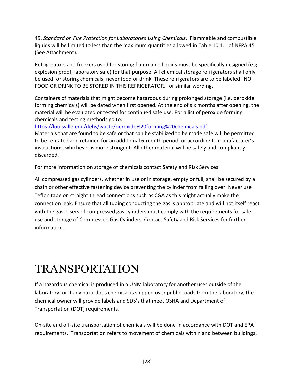45, *Standard on Fire Protection for Laboratories Using Chemicals*. Flammable and combustible liquids will be limited to less than the maximum quantities allowed in Table 10.1.1 of NFPA 45 (See Attachment).

Refrigerators and freezers used for storing flammable liquids must be specifically designed (e.g. explosion proof, laboratory safe) for that purpose. All chemical storage refrigerators shall only be used for storing chemicals, never food or drink. These refrigerators are to be labeled "NO FOOD OR DRINK TO BE STORED IN THIS REFRIGERATOR," or similar wording.

Containers of materials that might become hazardous during prolonged storage (i.e. peroxide forming chemicals) will be dated when first opened. At the end of six months after opening, the material will be evaluated or tested for continued safe use. For a list of peroxide forming chemicals and testing methods go to:

[https://louisville.edu/dehs/waste/peroxide%20forming%20chemicals.pdf.](https://louisville.edu/dehs/waste/peroxide%20forming%20chemicals.pdf)

Materials that are found to be safe or that can be stabilized to be made safe will be permitted to be re-dated and retained for an additional 6-month period, or according to manufacturer's instructions, whichever is more stringent. All other material will be safely and compliantly discarded.

For more information on storage of chemicals contact Safety and Risk Services.

All compressed gas cylinders, whether in use or in storage, empty or full, shall be secured by a chain or other effective fastening device preventing the cylinder from falling over. Never use Teflon tape on straight thread connections such as CGA as this might actually make the connection leak. Ensure that all tubing conducting the gas is appropriate and will not itself react with the gas. Users of compressed gas cylinders must comply with the requirements for safe use and storage of Compressed Gas Cylinders. Contact Safety and Risk Services for further information.

### <span id="page-27-0"></span>TRANSPORTATION

If a hazardous chemical is produced in a UNM laboratory for another user outside of the laboratory, or if any hazardous chemical is shipped over public roads from the laboratory, the chemical owner will provide labels and SDS's that meet OSHA and Department of Transportation (DOT) requirements.

On-site and off-site transportation of chemicals will be done in accordance with DOT and EPA requirements. Transportation refers to movement of chemicals within and between buildings,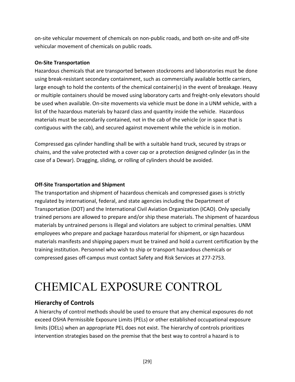on-site vehicular movement of chemicals on non-public roads, and both on-site and off-site vehicular movement of chemicals on public roads.

#### **On-Site Transportation**

Hazardous chemicals that are transported between stockrooms and laboratories must be done using break-resistant secondary containment, such as commercially available bottle carriers, large enough to hold the contents of the chemical container(s) in the event of breakage. Heavy or multiple containers should be moved using laboratory carts and freight-only elevators should be used when available. On-site movements via vehicle must be done in a UNM vehicle, with a list of the hazardous materials by hazard class and quantity inside the vehicle. Hazardous materials must be secondarily contained, not in the cab of the vehicle (or in space that is contiguous with the cab), and secured against movement while the vehicle is in motion.

Compressed gas cylinder handling shall be with a suitable hand truck, secured by straps or chains, and the valve protected with a cover cap or a protection designed cylinder (as in the case of a Dewar). Dragging, sliding, or rolling of cylinders should be avoided.

#### **Off-Site Transportation and Shipment**

The transportation and shipment of hazardous chemicals and compressed gases is strictly regulated by international, federal, and state agencies including the Department of Transportation (DOT) and the International Civil Aviation Organization (ICAO). Only specially trained persons are allowed to prepare and/or ship these materials. The shipment of hazardous materials by untrained persons is illegal and violators are subject to criminal penalties. UNM employees who prepare and package hazardous material for shipment, or sign hazardous materials manifests and shipping papers must be trained and hold a current certification by the training institution. Personnel who wish to ship or transport hazardous chemicals or compressed gases off-campus must contact Safety and Risk Services at 277-2753.

# <span id="page-28-0"></span>CHEMICAL EXPOSURE CONTROL

### **Hierarchy of Controls**

A hierarchy of control methods should be used to ensure that any chemical exposures do not exceed OSHA Permissible Exposure Limits (PELs) or other established occupational exposure limits (OELs) when an appropriate PEL does not exist. The hierarchy of controls prioritizes intervention strategies based on the premise that the best way to control a hazard is to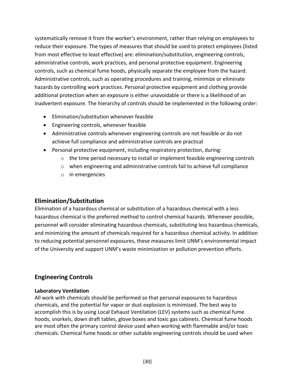systematically remove it from the worker's environment, rather than relying on employees to reduce their exposure. The types of measures that should be used to protect employees (listed from most effective to least effective) are: elimination/substitution, engineering controls, administrative controls, work practices, and personal protective equipment. Engineering controls, such as chemical fume hoods, physically separate the employee from the hazard. Administrative controls, such as operating procedures and training, minimize or eliminate hazards by controlling work practices. Personal protective equipment and clothing provide additional protection when an exposure is either unavoidable or there is a likelihood of an inadvertent exposure. The hierarchy of controls should be implemented in the following order:

- Elimination/substitution whenever feasible
- Engineering controls, whenever feasible
- Administrative controls whenever engineering controls are not feasible or do not achieve full compliance and administrative controls are practical
- Personal protective equipment, including respiratory protection, during:
	- $\circ$  the time period necessary to install or implement feasible engineering controls
	- o when engineering and administrative controls fail to achieve full compliance
	- o in emergencies

#### **Elimination/Substitution**

Elimination of a hazardous chemical or substitution of a hazardous chemical with a less hazardous chemical is the preferred method to control chemical hazards. Whenever possible, personnel will consider eliminating hazardous chemicals, substituting less hazardous chemicals, and minimizing the amount of chemicals required for a hazardous chemical activity. In addition to reducing potential personnel exposures, these measures limit UNM's environmental impact of the University and support UNM's waste minimization or pollution prevention efforts.

#### **Engineering Controls**

#### **Laboratory Ventilation**

All work with chemicals should be performed so that personal exposures to hazardous chemicals, and the potential for vapor or dust explosion is minimized. The best way to accomplish this is by using Local Exhaust Ventilation (LEV) systems such as chemical fume hoods, snorkels, down draft tables, glove boxes and toxic gas cabinets. Chemical fume hoods are most often the primary control device used when working with flammable and/or toxic chemicals. Chemical fume hoods or other suitable engineering controls should be used when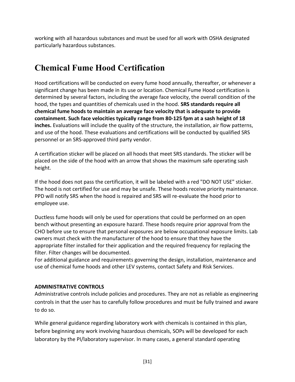working with all hazardous substances and must be used for all work with OSHA designated particularly hazardous substances.

### **Chemical Fume Hood Certification**

Hood certifications will be conducted on every fume hood annually, thereafter, or whenever a significant change has been made in its use or location. Chemical Fume Hood certification is determined by several factors, including the average face velocity, the overall condition of the hood, the types and quantities of chemicals used in the hood. **SRS standards require all chemical fume hoods to maintain an average face velocity that is adequate to provide containment. Such face velocities typically range from 80-125 fpm at a sash height of 18 inches.** Evaluations will include the quality of the structure, the installation, air flow patterns, and use of the hood. These evaluations and certifications will be conducted by qualified SRS personnel or an SRS-approved third party vendor.

A certification sticker will be placed on all hoods that meet SRS standards. The sticker will be placed on the side of the hood with an arrow that shows the maximum safe operating sash height.

If the hood does not pass the certification, it will be labeled with a red "DO NOT USE" sticker. The hood is not certified for use and may be unsafe. These hoods receive priority maintenance. PPD will notify SRS when the hood is repaired and SRS will re-evaluate the hood prior to employee use.

Ductless fume hoods will only be used for operations that could be performed on an open bench without presenting an exposure hazard. These hoods require prior approval from the CHO before use to ensure that personal exposures are below occupational exposure limits. Lab owners must check with the manufacturer of the hood to ensure that they have the appropriate filter installed for their application and the required frequency for replacing the filter. Filter changes will be documented.

For additional guidance and requirements governing the design, installation, maintenance and use of chemical fume hoods and other LEV systems, contact Safety and Risk Services.

#### **ADMINISTRATIVE CONTROLS**

Administrative controls include policies and procedures. They are not as reliable as engineering controls in that the user has to carefully follow procedures and must be fully trained and aware to do so.

While general guidance regarding laboratory work with chemicals is contained in this plan, before beginning any work involving hazardous chemicals, SOPs will be developed for each laboratory by the PI/laboratory supervisor. In many cases, a general standard operating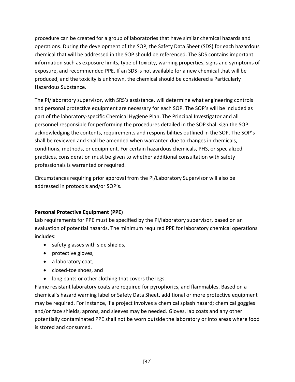procedure can be created for a group of laboratories that have similar chemical hazards and operations. During the development of the SOP, the Safety Data Sheet (SDS) for each hazardous chemical that will be addressed in the SOP should be referenced. The SDS contains important information such as exposure limits, type of toxicity, warning properties, signs and symptoms of exposure, and recommended PPE. If an SDS is not available for a new chemical that will be produced, and the toxicity is unknown, the chemical should be considered a Particularly Hazardous Substance.

The PI/laboratory supervisor, with SRS's assistance, will determine what engineering controls and personal protective equipment are necessary for each SOP. The SOP's will be included as part of the laboratory-specific Chemical Hygiene Plan. The Principal Investigator and all personnel responsible for performing the procedures detailed in the SOP shall sign the SOP acknowledging the contents, requirements and responsibilities outlined in the SOP. The SOP's shall be reviewed and shall be amended when warranted due to changes in chemicals, conditions, methods, or equipment. For certain hazardous chemicals, PHS, or specialized practices, consideration must be given to whether additional consultation with safety professionals is warranted or required.

Circumstances requiring prior approval from the PI/Laboratory Supervisor will also be addressed in protocols and/or SOP's.

#### **Personal Protective Equipment (PPE)**

Lab requirements for PPE must be specified by the PI/laboratory supervisor, based on an evaluation of potential hazards. The minimum required PPE for laboratory chemical operations includes:

- safety glasses with side shields,
- protective gloves,
- a laboratory coat,
- closed-toe shoes, and
- long pants or other clothing that covers the legs.

Flame resistant laboratory coats are required for pyrophorics, and flammables. Based on a chemical's hazard warning label or Safety Data Sheet, additional or more protective equipment may be required. For instance, if a project involves a chemical splash hazard; chemical goggles and/or face shields, aprons, and sleeves may be needed. Gloves, lab coats and any other potentially contaminated PPE shall not be worn outside the laboratory or into areas where food is stored and consumed.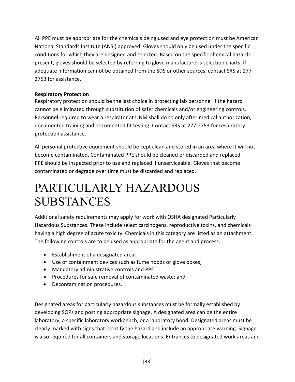All PPE must be appropriate for the chemicals being used and eye protection must be American National Standards Institute (ANSI) approved. Gloves should only be used under the specific conditions for which they are designed and selected. Based on the specific chemical hazards present, gloves should be selected by referring to glove manufacturer's selection charts. If adequate information cannot be obtained from the SDS or other sources, contact SRS at 277- 2753 for assistance.

#### **Respiratory Protection**

Respiratory protection should be the last choice in protecting lab personnel if the hazard cannot be eliminated through substitution of safer chemicals and/or engineering controls. Personnel required to wear a respirator at UNM shall do so only after medical authorization, documented training and documented fit testing. Contact SRS at 277-2753 for respiratory protection assistance.

All personal protective equipment should be kept clean and stored in an area where it will not become contaminated. Contaminated PPE should be cleaned or discarded and replaced. PPE should be inspected prior to use and replaced if unserviceable. Gloves that become contaminated or degrade over time must be discarded and replaced.

### <span id="page-32-0"></span>PARTICULARLY HAZARDOUS SUBSTANCES

Additional safety requirements may apply for work with OSHA designated Particularly Hazardous Substances. These include select carcinogens, reproductive toxins, and chemicals having a high degree of acute toxicity. Chemicals in this category are listed as an attachment. The following controls are to be used as appropriate for the agent and process:

- Establishment of a designated area;
- Use of containment devices such as fume hoods or glove boxes;
- Mandatory administrative controls and PPE
- Procedures for safe removal of contaminated waste; and
- Decontamination procedures.

Designated areas for particularly hazardous substances must be formally established by developing SOPs and posting appropriate signage. A designated area can be the entire laboratory, a specific laboratory workbench, or a laboratory hood. Designated areas must be clearly marked with signs that identify the hazard and include an appropriate warning. Signage is also required for all containers and storage locations. Entrances to designated work areas and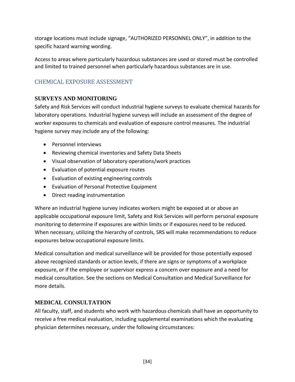storage locations must include signage, "AUTHORIZED PERSONNEL ONLY", in addition to the specific hazard warning wording.

Access to areas where particularly hazardous substances are used or stored must be controlled and limited to trained personnel when particularly hazardous substances are in use.

### <span id="page-33-0"></span>CHEMICAL EXPOSURE ASSESSMENT

#### <span id="page-33-1"></span>**SURVEYS AND MONITORING**

Safety and Risk Services will conduct industrial hygiene surveys to evaluate chemical hazards for laboratory operations. Industrial hygiene surveys will include an assessment of the degree of worker exposures to chemicals and evaluation of exposure control measures. The industrial hygiene survey may include any of the following:

- Personnel interviews
- Reviewing chemical inventories and Safety Data Sheets
- Visual observation of laboratory operations/work practices
- Evaluation of potential exposure routes
- Evaluation of existing engineering controls
- Evaluation of Personal Protective Equipment
- Direct reading instrumentation

Where an industrial hygiene survey indicates workers might be exposed at or above an applicable occupational exposure limit, Safety and Risk Services will perform personal exposure monitoring to determine if exposures are within limits or if exposures need to be reduced. When necessary, utilizing the hierarchy of controls, SRS will make recommendations to reduce exposures below occupational exposure limits.

Medical consultation and medical surveillance will be provided for those potentially exposed above recognized standards or action levels, if there are signs or symptoms of a workplace exposure, or if the employee or supervisor express a concern over exposure and a need for medical consultation. See the sections on Medical Consultation and Medical Surveillance for more details.

#### <span id="page-33-2"></span>**MEDICAL CONSULTATION**

All faculty, staff, and students who work with hazardous chemicals shall have an opportunity to receive a free medical evaluation, including supplemental examinations which the evaluating physician determines necessary, under the following circumstances: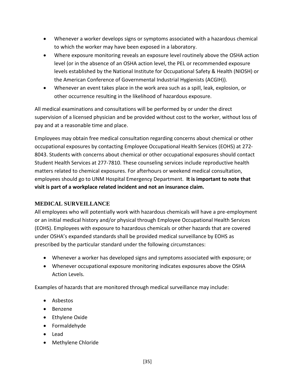- Whenever a worker develops signs or symptoms associated with a hazardous chemical to which the worker may have been exposed in a laboratory.
- Where exposure monitoring reveals an exposure level routinely above the OSHA action level (or in the absence of an OSHA action level, the PEL or recommended exposure levels established by the National Institute for Occupational Safety & Health (NIOSH) or the American Conference of Governmental Industrial Hygienists (ACGIH)).
- Whenever an event takes place in the work area such as a spill, leak, explosion, or other occurrence resulting in the likelihood of hazardous exposure.

All medical examinations and consultations will be performed by or under the direct supervision of a licensed physician and be provided without cost to the worker, without loss of pay and at a reasonable time and place.

Employees may obtain free medical consultation regarding concerns about chemical or other occupational exposures by contacting Employee Occupational Health Services (EOHS) at 272- 8043. Students with concerns about chemical or other occupational exposures should contact Student Health Services at 277-7810. These counseling services include reproductive health matters related to chemical exposures. For afterhours or weekend medical consultation, employees should go to UNM Hospital Emergency Department. **It is important to note that visit is part of a workplace related incident and not an insurance claim.**

#### <span id="page-34-0"></span>**MEDICAL SURVEILLANCE**

All employees who will potentially work with hazardous chemicals will have a pre-employment or an initial medical history and/or physical through Employee Occupational Health Services (EOHS). Employees with exposure to hazardous chemicals or other hazards that are covered under OSHA's expanded standards shall be provided medical surveillance by EOHS as prescribed by the particular standard under the following circumstances:

- Whenever a worker has developed signs and symptoms associated with exposure; or
- Whenever occupational exposure monitoring indicates exposures above the OSHA Action Levels.

Examples of hazards that are monitored through medical surveillance may include:

- Asbestos
- Benzene
- Ethylene Oxide
- Formaldehyde
- Lead
- Methylene Chloride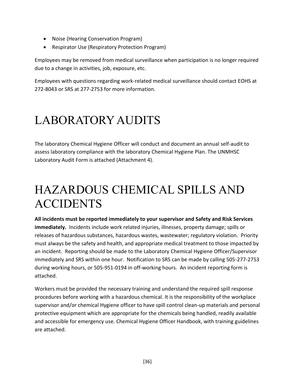- Noise (Hearing Conservation Program)
- Respirator Use (Respiratory Protection Program)

Employees may be removed from medical surveillance when participation is no longer required due to a change in activities, job, exposure, etc.

Employees with questions regarding work-related medical surveillance should contact EOHS at 272-8043 or SRS at 277-2753 for more information.

# <span id="page-35-0"></span>LABORATORY AUDITS

The laboratory Chemical Hygiene Officer will conduct and document an annual self-audit to assess laboratory compliance with the laboratory Chemical Hygiene Plan. The UNMHSC Laboratory Audit Form is attached (Attachment 4).

### <span id="page-35-1"></span>HAZARDOUS CHEMICAL SPILLS AND ACCIDENTS

**All incidents must be reported immediately to your supervisor and Safety and Risk Services immediately.** Incidents include work related injuries, illnesses, property damage; spills or releases of hazardous substances, hazardous wastes, wastewater; regulatory violation. Priority must always be the safety and health, and appropriate medical treatment to those impacted by an incident. Reporting should be made to the Laboratory Chemical Hygiene Officer/Supervisor immediately and SRS within one hour. Notification to SRS can be made by calling 505-277-2753 during working hours, or 505-951-0194 in off-working hours. An incident reporting form is attached.

Workers must be provided the necessary training and understand the required spill response procedures before working with a hazardous chemical. It is the responsibility of the workplace supervisor and/or chemical Hygiene officer to have spill control clean-up materials and personal protective equipment which are appropriate for the chemicals being handled, readily available and accessible for emergency use. Chemical Hygiene Officer Handbook, with training guidelines are attached.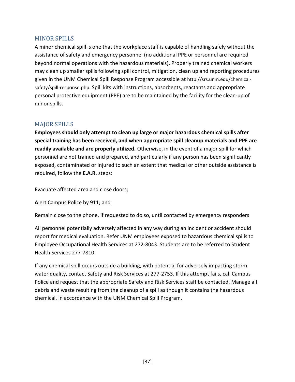#### <span id="page-36-0"></span>MINOR SPILLS

A minor chemical spill is one that the workplace staff is capable of handling safely without the assistance of safety and emergency personnel (no additional PPE or personnel are required beyond normal operations with the hazardous materials). Properly trained chemical workers may clean up smaller spills following spill control, mitigation, clean up and reporting procedures given in the UNM Chemical Spill Response Program accessible at http://srs.unm.edu/chemicalsafety/spill-response.php. Spill kits with instructions, absorbents, reactants and appropriate personal protective equipment (PPE) are to be maintained by the facility for the clean-up of minor spills.

#### <span id="page-36-1"></span>MAJOR SPILLS

**Employees should only attempt to clean up large or major hazardous chemical spills after special training has been received, and when appropriate spill cleanup materials and PPE are readily available and are properly utilized.** Otherwise, in the event of a major spill for which personnel are not trained and prepared, and particularly if any person has been significantly exposed, contaminated or injured to such an extent that medical or other outside assistance is required, follow the **E.A.R.** steps:

**E**vacuate affected area and close doors;

**A**lert Campus Police by 911; and

**R**emain close to the phone, if requested to do so, until contacted by emergency responders

All personnel potentially adversely affected in any way during an incident or accident should report for medical evaluation. Refer UNM employees exposed to hazardous chemical spills to Employee Occupational Health Services at 272-8043. Students are to be referred to Student Health Services 277-7810.

If any chemical spill occurs outside a building, with potential for adversely impacting storm water quality, contact Safety and Risk Services at 277-2753. If this attempt fails, call Campus Police and request that the appropriate Safety and Risk Services staff be contacted. Manage all debris and waste resulting from the cleanup of a spill as though it contains the hazardous chemical, in accordance with the UNM Chemical Spill Program.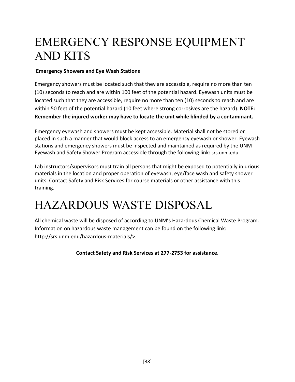### <span id="page-37-0"></span>EMERGENCY RESPONSE EQUIPMENT AND KITS

#### **Emergency Showers and Eye Wash Stations**

Emergency showers must be located such that they are accessible, require no more than ten (10) seconds to reach and are within 100 feet of the potential hazard. Eyewash units must be located such that they are accessible, require no more than ten (10) seconds to reach and are within 50 feet of the potential hazard (10 feet where strong corrosives are the hazard). **NOTE: Remember the injured worker may have to locate the unit while blinded by a contaminant.**

Emergency eyewash and showers must be kept accessible. Material shall not be stored or placed in such a manner that would block access to an emergency eyewash or shower. Eyewash stations and emergency showers must be inspected and maintained as required by the UNM Eyewash and Safety Shower Program accessible through the following link: srs.unm.edu.

Lab instructors/supervisors must train all persons that might be exposed to potentially injurious materials in the location and proper operation of eyewash, eye/face wash and safety shower units. Contact Safety and Risk Services for course materials or other assistance with this training.

### <span id="page-37-1"></span>HAZARDOUS WASTE DISPOSAL

All chemical waste will be disposed of according to UNM's Hazardous Chemical Waste Program. Information on hazardous waste management can be found on the following link: http://srs.unm.edu/hazardous-materials/>.

**Contact Safety and Risk Services at 277-2753 for assistance.**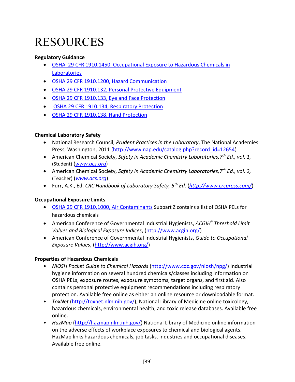# <span id="page-38-0"></span>RESOURCES

#### **Regulatory Guidance**

- [OSHA 29 CFR 1910.1450, Occupational Exposure to Hazardous Chemicals in](http://www.osha.gov/pls/oshaweb/owadisp.show_document?p_table=standards&p_id=10106)  **[Laboratories](http://www.osha.gov/pls/oshaweb/owadisp.show_document?p_table=standards&p_id=10106)**
- [OSHA 29 CFR 1910.1200, Hazard Communication](http://www.osha.gov/pls/oshaweb/owadisp.show_document?p_table=STANDARDS&p_id=10099)
- [OSHA 29 CFR 1910.132, Personal Protective Equipment](http://www.osha.gov/pls/oshaweb/owadisp.show_document?p_table=STANDARDS&p_id=9777)
- [OSHA 29 CFR 1910.133, Eye and Face Protection](http://www.osha.gov/pls/oshaweb/owadisp.show_document?p_table=STANDARDS&p_id=9778)
- [OSHA 29 CFR 1910.134, Respiratory Protection](http://www.osha.gov/pls/oshaweb/owadisp.show_document?p_id=12716&p_table=standards)
- [OSHA 29 CFR 1910.138, Hand Protection](http://www.osha.gov/pls/oshaweb/owadisp.show_document?p_table=STANDARDS&p_id=9788)

#### **Chemical Laboratory Safety**

- National Research Council, *Prudent Practices in the Laboratory*, The National Academies Press, Washington, 2011 [\(http://www.nap.edu/catalog.php?record\\_id=12654\)](http://www.nap.edu/catalog.php?record_id=12654)
- American Chemical Society, *Safety in Academic Chemistry Laboratories,7 th Ed., vol. 1,*  (Student) (*[www.acs.org](http://www.acs.org/)*)
- American Chemical Society, *Safety in Academic Chemistry Laboratories,7 th Ed., vol. 2,*  (Teacher) (*[www.acs.org](http://www.acs.org/)*)
- Furr, A.K., Ed. *CRC Handbook of Laboratory Safety, 5th Ed.* (*<http://www.crcpress.com/>*)

#### **Occupational Exposure Limits**

- [OSHA 29 CFR 1910.1000, Air Contaminants](http://www.osha.gov/pls/oshaweb/owadisp.show_document?p_table=STANDARDS&p_id=9992) Subpart Z contains a list of OSHA PELs for hazardous chemicals
- American Conference of Governmental Industrial Hygienists, *ACGIH® Threshold Limit Values and Biological Exposure Indices*, [\(http://www.acgih.org/\)](http://www.acgih.org/)
- American Conference of Governmental Industrial Hygienists, *Guide to Occupational Exposure Values*, [\(http://www.acgih.org/\)](http://www.acgih.org/)

#### **Properties of Hazardous Chemicals**

- *NIOSH Pocket Guide to Chemical Hazards* [\(http://www.cdc.gov/niosh/npg/\)](http://www.cdc.gov/niosh/npg/) Industrial hygiene information on several hundred chemicals/classes including information on OSHA PELs, exposure routes, exposure symptoms, target organs, and first aid. Also contains personal protective equipment recommendations including respiratory protection. Available free online as either an online resource or downloadable format.
- *ToxNet* [\(http://toxnet.nlm.nih.gov/\)](http://toxnet.nlm.nih.gov/), National Library of Medicine online toxicology, hazardous chemicals, environmental health, and toxic release databases. Available free online.
- *HazMap* [\(http://hazmap.nlm.nih.gov/\)](http://hazmap.nlm.nih.gov/) National Library of Medicine online information on the adverse effects of workplace exposures to chemical and biological agents. HazMap links hazardous chemicals, job tasks, industries and occupational diseases. Available free online.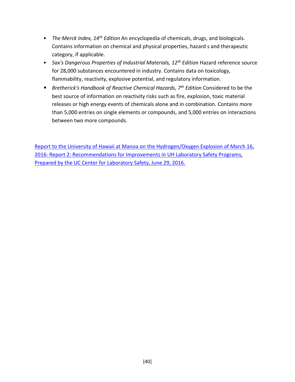- *The Merck Index, 14th Edition* An encyclopedia of chemicals, drugs, and biologicals. Contains information on chemical and physical properties, hazard s and therapeutic category, if applicable.
- *Sax's Dangerous Properties of Industrial Materials, 12th Edition* Hazard reference source for 28,000 substances encountered in industry. Contains data on toxicology, flammability, reactivity, explosive potential, and regulatory information.
- *Bretherick's Handbook of Reactive Chemical Hazards, 7th Edition* Considered to be the best source of information on reactivity risks such as fire, explosion, toxic material releases or high energy events of chemicals alone and in combination. Contains more than 5,000 entries on single elements or compounds, and 5,000 entries on interactions between two more compounds.

Report to the University of Hawaii at Manoa on the Hydrogen/Oxygen Explosion of March 16, 2016: Report 2: Recommendations for Improvements in UH Laboratory Safety Programs, Prepared by the UC Center for Laboratory Safety, June 29, 2016.